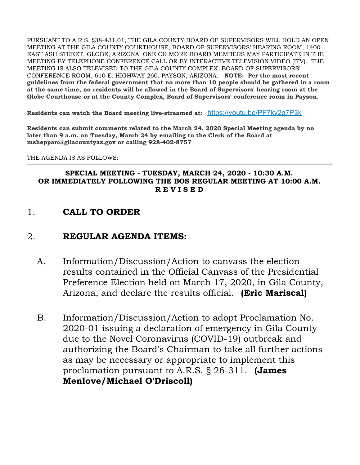PURSUANT TO A.R.S. §38-431.01, THE GILA COUNTY BOARD OF SUPERVISORS WILL HOLD AN OPEN MEETING AT THE GILA COUNTY COURTHOUSE, BOARD OF SUPERVISORS' HEARING ROOM, 1400 EAST ASH STREET, GLOBE, ARIZONA. ONE OR MORE BOARD MEMBERS MAY PARTICIPATE IN THE MEETING BY TELEPHONE CONFERENCE CALL OR BY INTERACTIVE TELEVISION VIDEO (ITV). THE MEETING IS ALSO TELEVISED TO THE GILA COUNTY COMPLEX, BOARD OF SUPERVISORS' CONFERENCE ROOM, 610 E. HIGHWAY 260, PAYSON, ARIZONA. **NOTE: Per the most recent guidelines from the federal government that no more than 10 people should be gathered in a room at the same time, no residents will be allowed in the Board of Supervisors' hearing room at the Globe Courthouse or at the County Complex, Board of Supervisors' conference room in Payson.**

**Residents can watch the Board meeting live-streamed at:** <https://youtu.be/PF7kv2q7P3k>

**Residents can submit comments related to the March 24, 2020 Special Meeting agenda by no later than 9 a.m. on Tuesday, March 24 by emailing to the Clerk of the Board at msheppard@gilacountyaz.gov or calling 928-402-8757**

### THE AGENDA IS AS FOLLOWS:

### **SPECIAL MEETING - TUESDAY, MARCH 24, 2020 - 10:30 A.M. OR IMMEDIATELY FOLLOWING THE BOS REGULAR MEETING AT 10:00 A.M. R E V I S E D**

1. **CALL TO ORDER**

## 2. **REGULAR AGENDA ITEMS:**

- A. Information/Discussion/Action to canvass the election results contained in the Official Canvass of the Presidential Preference Election held on March 17, 2020, in Gila County, Arizona, and declare the results official. **(Eric Mariscal)**
- B. Information/Discussion/Action to adopt Proclamation No. 2020-01 issuing a declaration of emergency in Gila County due to the Novel Coronavirus (COVID-19) outbreak and authorizing the Board's Chairman to take all further actions as may be necessary or appropriate to implement this proclamation pursuant to A.R.S. § 26-311. **(James Menlove/Michael O'Driscoll)**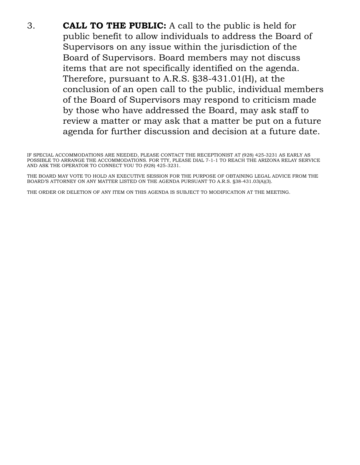3. **CALL TO THE PUBLIC:** A call to the public is held for public benefit to allow individuals to address the Board of Supervisors on any issue within the jurisdiction of the Board of Supervisors. Board members may not discuss items that are not specifically identified on the agenda. Therefore, pursuant to A.R.S. §38-431.01(H), at the conclusion of an open call to the public, individual members of the Board of Supervisors may respond to criticism made by those who have addressed the Board, may ask staff to review a matter or may ask that a matter be put on a future agenda for further discussion and decision at a future date.

THE BOARD MAY VOTE TO HOLD AN EXECUTIVE SESSION FOR THE PURPOSE OF OBTAINING LEGAL ADVICE FROM THE BOARD'S ATTORNEY ON ANY MATTER LISTED ON THE AGENDA PURSUANT TO A.R.S. §38-431.03(A)(3).

THE ORDER OR DELETION OF ANY ITEM ON THIS AGENDA IS SUBJECT TO MODIFICATION AT THE MEETING.

IF SPECIAL ACCOMMODATIONS ARE NEEDED, PLEASE CONTACT THE RECEPTIONIST AT (928) 425-3231 AS EARLY AS POSSIBLE TO ARRANGE THE ACCOMMODATIONS. FOR TTY, PLEASE DIAL 7-1-1 TO REACH THE ARIZONA RELAY SERVICE AND ASK THE OPERATOR TO CONNECT YOU TO (928) 425-3231.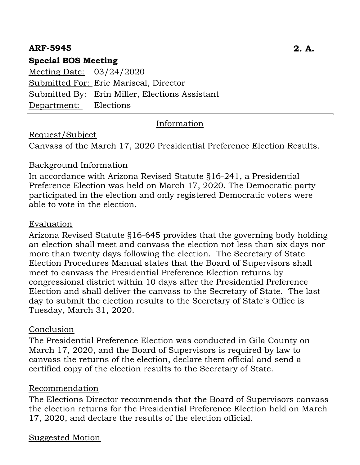# **ARF-5945 2. A.**

# **Special BOS Meeting**

Meeting Date: 03/24/2020 Submitted For: Eric Mariscal, Director Submitted By: Erin Miller, Elections Assistant Department: Elections

### Information

## Request/Subject

Canvass of the March 17, 2020 Presidential Preference Election Results.

### Background Information

In accordance with Arizona Revised Statute §16-241, a Presidential Preference Election was held on March 17, 2020. The Democratic party participated in the election and only registered Democratic voters were able to vote in the election.

### Evaluation

Arizona Revised Statute §16-645 provides that the governing body holding an election shall meet and canvass the election not less than six days nor more than twenty days following the election. The Secretary of State Election Procedures Manual states that the Board of Supervisors shall meet to canvass the Presidential Preference Election returns by congressional district within 10 days after the Presidential Preference Election and shall deliver the canvass to the Secretary of State. The last day to submit the election results to the Secretary of State's Office is Tuesday, March 31, 2020.

## Conclusion

The Presidential Preference Election was conducted in Gila County on March 17, 2020, and the Board of Supervisors is required by law to canvass the returns of the election, declare them official and send a certified copy of the election results to the Secretary of State.

### Recommendation

The Elections Director recommends that the Board of Supervisors canvass the election returns for the Presidential Preference Election held on March 17, 2020, and declare the results of the election official.

## Suggested Motion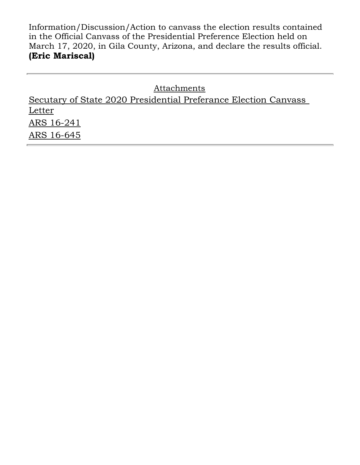Information/Discussion/Action to canvass the election results contained in the Official Canvass of the Presidential Preference Election held on March 17, 2020, in Gila County, Arizona, and declare the results official. **(Eric Mariscal)**

**Attachments** Secutary of State 2020 Presidential Preferance Election Canvass **Letter** ARS 16-241 ARS 16-645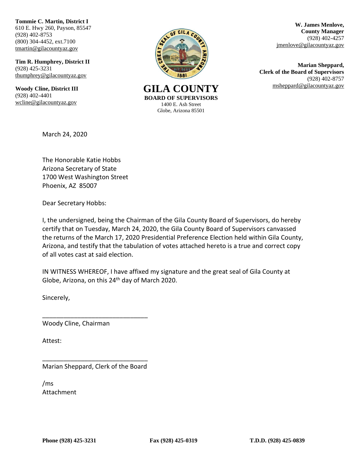**Tommie C. Martin, District I** 610 E. Hwy 260, Payson, 85547 (928) 402-8753 (800) 304-4452, ext.7100 [tmartin@](mailto:tmartin)gilacountyaz.gov

**Tim R. Humphrey, District II** (928) 425-3231 [thumphrey@gilacountyaz.gov](mailto:thumphrey@gilacountyaz.gov)

**Woody Cline, District III** (928) 402-4401 [wcline@gilacountyaz.gov](mailto:wcline@gilacountyaz.gov)



GILA COUNTY **EXAMPLE 18 Instrument COUNTY EXAMPLE 18 INCREASE AND MOVE COUNTY BOARD OF SUPERVISORS** 1400 E. Ash Street Globe, Arizona 85501

**W. James Menlove, County Manager** (928) 402-4257 jmenlove@gilacountyaz.gov

**Marian Sheppard, Clerk of the Board of Supervisors** (928) 402-8757

March 24, 2020

The Honorable Katie Hobbs Arizona Secretary of State 1700 West Washington Street Phoenix, AZ 85007

Dear Secretary Hobbs:

I, the undersigned, being the Chairman of the Gila County Board of Supervisors, do hereby certify that on Tuesday, March 24, 2020, the Gila County Board of Supervisors canvassed the returns of the March 17, 2020 Presidential Preference Election held within Gila County, Arizona, and testify that the tabulation of votes attached hereto is a true and correct copy of all votes cast at said election.

IN WITNESS WHEREOF, I have affixed my signature and the great seal of Gila County at Globe, Arizona, on this 24<sup>th</sup> day of March 2020.

Sincerely,

Woody Cline, Chairman

Attest:

\_\_\_\_\_\_\_\_\_\_\_\_\_\_\_\_\_\_\_\_\_\_\_\_\_\_\_\_\_\_ Marian Sheppard, Clerk of the Board

\_\_\_\_\_\_\_\_\_\_\_\_\_\_\_\_\_\_\_\_\_\_\_\_\_\_\_\_\_\_

/ms Attachment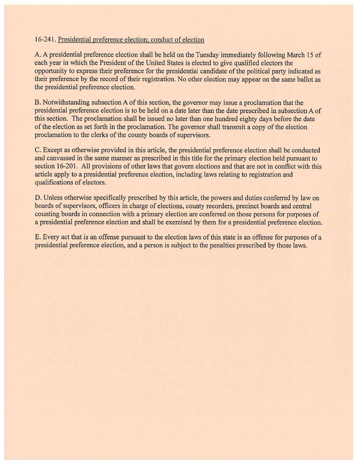### 16-241. Presidential preference election; conduct of election

A. A presidential preference election shall be held on the Tuesday immediately following March 15 of each year in which the President of the United States is elected to give qualified electors the opportunity to express their preference for the presidential candidate of the political party indicated as their preference by the record of their registration. No other election may appear on the same ballot as the presidential preference election.

B. Notwithstanding subsection A of this section, the governor may issue a proclamation that the presidential preference election is to be held on a date later than the date prescribed in subsection A of this section. The proclamation shall be issued no later than one hundred eighty days before the date of the election as set forth in the proclamation. The governor shall transmit a copy of the election proclamation to the clerks of the county boards of supervisors.

C. Except as otherwise provided in this article, the presidential preference election shall be conducted and canvassed in the same manner as prescribed in this title for the primary election held pursuant to section 16-201. All provisions of other laws that govern elections and that are not in conflict with this article apply to a presidential preference election, including laws relating to registration and qualifications of electors.

D. Unless otherwise specifically prescribed by this article, the powers and duties conferred by law on boards of supervisors, officers in charge of elections, county recorders, precinct boards and central counting boards in connection with a primary election are conferred on those persons for purposes of a presidential preference election and shall be exercised by them for a presidential preference election.

E. Every act that is an offense pursuant to the election laws of this state is an offense for purposes of a presidential preference election, and a person is subject to the penalties prescribed by those laws.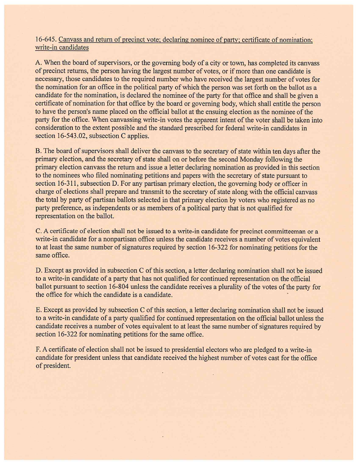### 16-645. Canvass and return of precinct vote; declaring nominee of party; certificate of nomination; write-in candidates

A. When the board of supervisors, or the governing body of a city or town, has completed its canvass of precinct returns, the person having the largest number of votes, or if more than one candidate is necessary, those candidates to the required number who have received the largest number of votes for the nomination for an office in the political party of which the person was set forth on the ballot as a candidate for the nomination, is declared the nominee of the party for that office and shall be given a certificate of nomination for that office by the board or governing body, which shall entitle the person to have the person's name placed on the official ballot at the ensuing election as the nominee of the party for the office. When canvassing write-in votes the apparent intent of the voter shall be taken into consideration to the extent possible and the standard prescribed for federal write-in candidates in section 16-543.02, subsection C applies.

B. The board of supervisors shall deliver the canvass to the secretary of state within ten days after the primary election, and the secretary of state shall on or before the second Monday following the primary election canvass the return and issue a letter declaring nomination as provided in this section to the nominees who filed nominating petitions and papers with the secretary of state pursuant to section 16-311, subsection D. For any partisan primary election, the governing body or officer in charge of elections shall prepare and transmit to the secretary of state along with the official canvass the total by party of partisan ballots selected in that primary election by voters who registered as no party preference, as independents or as members of a political party that is not qualified for representation on the ballot.

C. A certificate of election shall not be issued to a write-in candidate for precinct committeeman or a write-in candidate for a nonpartisan office unless the candidate receives a number of votes equivalent to at least the same number of signatures required by section 16-322 for nominating petitions for the same office.

D. Except as provided in subsection C of this section, a letter declaring nomination shall not be issued to a write-in candidate of a party that has not qualified for continued representation on the official ballot pursuant to section 16-804 unless the candidate receives a plurality of the votes of the party for the office for which the candidate is a candidate.

E. Except as provided by subsection C of this section, a letter declaring nomination shall not be issued to a write-in candidate of a party qualified for continued representation on the official ballot unless the candidate receives a number of votes equivalent to at least the same number of signatures required by section 16-322 for nominating petitions for the same office.

F. A certificate of election shall not be issued to presidential electors who are pledged to a write-in candidate for president unless that candidate received the highest number of votes cast for the office of president.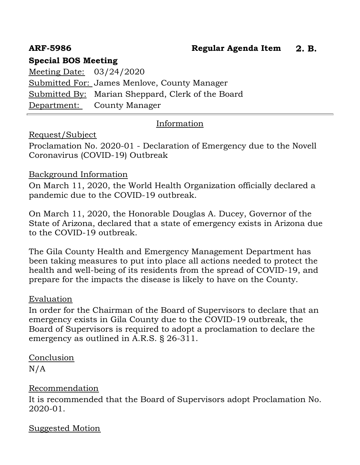# **ARF-5986 Regular Agenda Item 2. B.**

# **Special BOS Meeting**

Meeting Date: 03/24/2020 Submitted For: James Menlove, County Manager Submitted By: Marian Sheppard, Clerk of the Board Department: County Manager

# Information

## Request/Subject

Proclamation No. 2020-01 - Declaration of Emergency due to the Novell Coronavirus (COVID-19) Outbreak

### Background Information

On March 11, 2020, the World Health Organization officially declared a pandemic due to the COVID-19 outbreak.

On March 11, 2020, the Honorable Douglas A. Ducey, Governor of the State of Arizona, declared that a state of emergency exists in Arizona due to the COVID-19 outbreak.

The Gila County Health and Emergency Management Department has been taking measures to put into place all actions needed to protect the health and well-being of its residents from the spread of COVID-19, and prepare for the impacts the disease is likely to have on the County.

## Evaluation

In order for the Chairman of the Board of Supervisors to declare that an emergency exists in Gila County due to the COVID-19 outbreak, the Board of Supervisors is required to adopt a proclamation to declare the emergency as outlined in A.R.S. § 26-311.

# Conclusion

N/A

## Recommendation

It is recommended that the Board of Supervisors adopt Proclamation No. 2020-01.

## Suggested Motion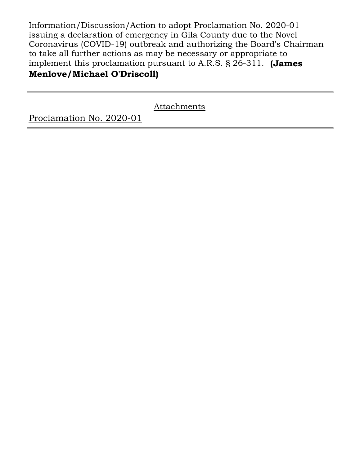Information/Discussion/Action to adopt Proclamation No. 2020-01 issuing a declaration of emergency in Gila County due to the Novel Coronavirus (COVID-19) outbreak and authorizing the Board's Chairman to take all further actions as may be necessary or appropriate to implement this proclamation pursuant to A.R.S. § 26-311. **(James**

# **Menlove/Michael O'Driscoll)**

Attachments

Proclamation No. 2020-01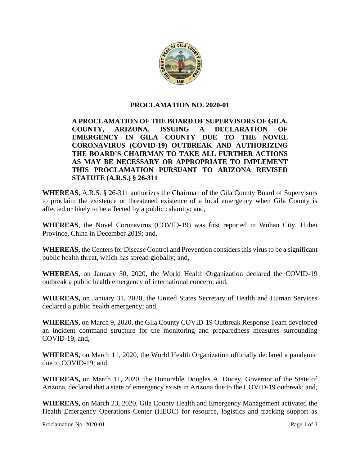

### **PROCLAMATION NO. 2020-01**

### **A PROCLAMATION OF THE BOARD OF SUPERVISORS OF GILA, COUNTY, ARIZONA, ISSUING A DECLARATION OF EMERGENCY IN GILA COUNTY DUE TO THE NOVEL CORONAVIRUS (COVID-19) OUTBREAK AND AUTHORIZING THE BOARD'S CHAIRMAN TO TAKE ALL FURTHER ACTIONS AS MAY BE NECESSARY OR APPROPRIATE TO IMPLEMENT THIS PROCLAMATION PURSUANT TO ARIZONA REVISED STATUTE (A.R.S.) § 26-311**

**WHEREAS**, A.R.S. § 26-311 authorizes the Chairman of the Gila County Board of Supervisors to proclaim the existence or threatened existence of a local emergency when Gila County is affected or likely to be affected by a public calamity; and,

**WHEREAS**, the Novel Coronavirus (COVID-19) was first reported in Wuhan City, Hubei Province, China in December 2019; and,

**WHEREAS,** the Centers for Disease Control and Prevention considers this virus to be a significant public health threat, which has spread globally; and,

**WHEREAS,** on January 30, 2020, the World Health Organization declared the COVID-19 outbreak a public health emergency of international concern; and,

**WHEREAS,** on January 31, 2020, the United States Secretary of Health and Human Services declared a public health emergency; and,

**WHEREAS,** on March 9, 2020, the Gila County COVID-19 Outbreak Response Team developed an incident command structure for the monitoring and preparedness measures surrounding COVID-19; and,

**WHEREAS,** on March 11, 2020, the World Health Organization officially declared a pandemic due to COVID-19; and,

**WHEREAS,** on March 11, 2020, the Honorable Douglas A. Ducey, Governor of the State of Arizona, declared that a state of emergency exists in Arizona due to the COVID-19 outbreak; and,

**WHEREAS,** on March 23, 2020, Gila County Health and Emergency Management activated the Health Emergency Operations Center (HEOC) for resource, logistics and tracking support as

Proclamation No. 2020-01 Page 1 of 3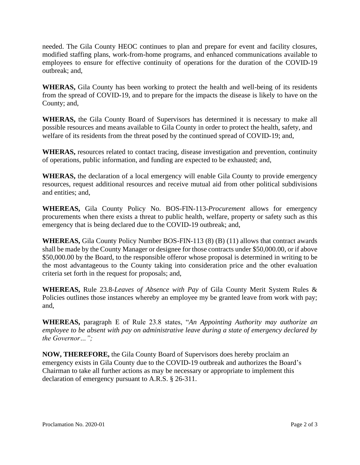needed. The Gila County HEOC continues to plan and prepare for event and facility closures, modified staffing plans, work-from-home programs, and enhanced communications available to employees to ensure for effective continuity of operations for the duration of the COVID-19 outbreak; and,

**WHERAS,** Gila County has been working to protect the health and well-being of its residents from the spread of COVID-19, and to prepare for the impacts the disease is likely to have on the County; and,

**WHERAS,** the Gila County Board of Supervisors has determined it is necessary to make all possible resources and means available to Gila County in order to protect the health, safety, and welfare of its residents from the threat posed by the continued spread of COVID-19; and,

**WHERAS,** resources related to contact tracing, disease investigation and prevention, continuity of operations, public information, and funding are expected to be exhausted; and,

**WHERAS,** the declaration of a local emergency will enable Gila County to provide emergency resources, request additional resources and receive mutual aid from other political subdivisions and entities; and,

**WHEREAS,** Gila County Policy No. BOS-FIN-113-*Procurement* allows for emergency procurements when there exists a threat to public health, welfare, property or safety such as this emergency that is being declared due to the COVID-19 outbreak; and,

**WHEREAS,** Gila County Policy Number BOS-FIN-113 (8) (B) (11) allows that contract awards shall be made by the County Manager or designee for those contracts under \$50,000.00, or if above \$50,000.00 by the Board, to the responsible offeror whose proposal is determined in writing to be the most advantageous to the County taking into consideration price and the other evaluation criteria set forth in the request for proposals; and,

**WHEREAS,** Rule 23.8-*Leaves of Absence with Pay* of Gila County Merit System Rules & Policies outlines those instances whereby an employee my be granted leave from work with pay; and,

**WHEREAS,** paragraph E of Rule 23.8 states, "*An Appointing Authority may authorize an employee to be absent with pay on administrative leave during a state of emergency declared by the Governor…";* 

**NOW, THEREFORE,** the Gila County Board of Supervisors does hereby proclaim an emergency exists in Gila County due to the COVID-19 outbreak and authorizes the Board's Chairman to take all further actions as may be necessary or appropriate to implement this declaration of emergency pursuant to A.R.S. § 26-311.